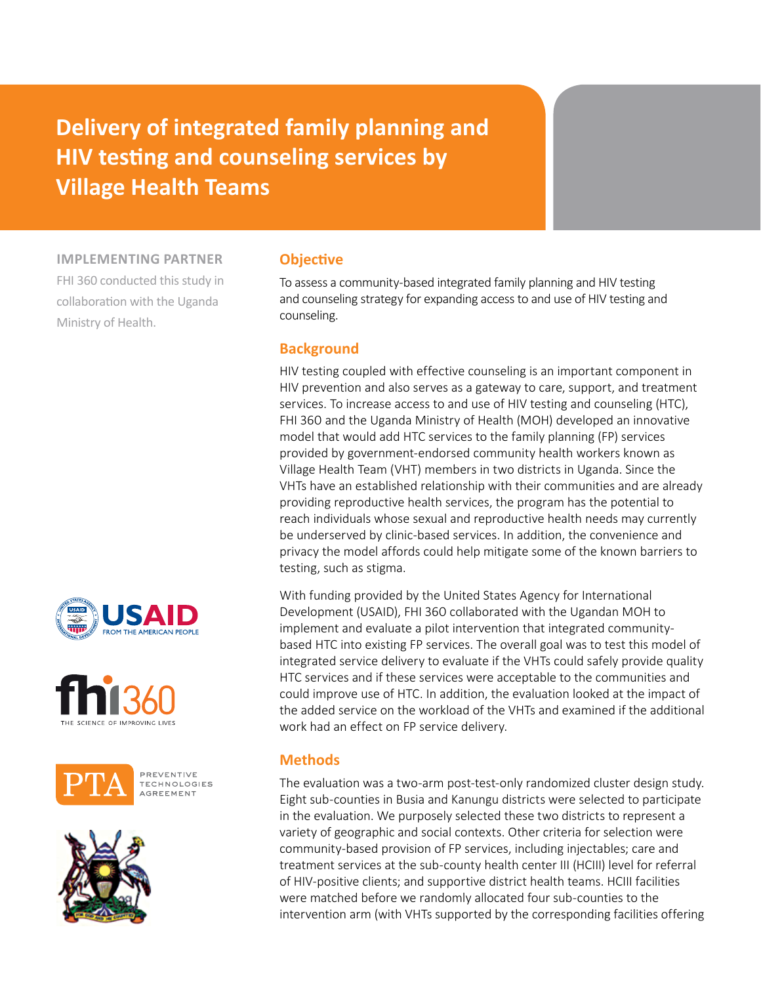# **Delivery of integrated family planning and HIV testing and counseling services by Village Health Teams**

**implementing partner**

FHI 360 conducted this study in collaboration with the Uganda Ministry of Health.









## **Objective**

To assess a community-based integrated family planning and HIV testing and counseling strategy for expanding access to and use of HIV testing and counseling.

## **Background**

HIV testing coupled with effective counseling is an important component in HIV prevention and also serves as a gateway to care, support, and treatment services. To increase access to and use of HIV testing and counseling (HTC), FHI 360 and the Uganda Ministry of Health (MOH) developed an innovative model that would add HTC services to the family planning (FP) services provided by government-endorsed community health workers known as Village Health Team (VHT) members in two districts in Uganda. Since the VHTs have an established relationship with their communities and are already providing reproductive health services, the program has the potential to reach individuals whose sexual and reproductive health needs may currently be underserved by clinic-based services. In addition, the convenience and privacy the model affords could help mitigate some of the known barriers to testing, such as stigma.

With funding provided by the United States Agency for International Development (USAID), FHI 360 collaborated with the Ugandan MOH to implement and evaluate a pilot intervention that integrated communitybased HTC into existing FP services. The overall goal was to test this model of integrated service delivery to evaluate if the VHTs could safely provide quality HTC services and if these services were acceptable to the communities and could improve use of HTC. In addition, the evaluation looked at the impact of the added service on the workload of the VHTs and examined if the additional work had an effect on FP service delivery.

## **Methods**

The evaluation was a two-arm post-test-only randomized cluster design study. Eight sub-counties in Busia and Kanungu districts were selected to participate in the evaluation. We purposely selected these two districts to represent a variety of geographic and social contexts. Other criteria for selection were community-based provision of FP services, including injectables; care and treatment services at the sub-county health center III (HCIII) level for referral of HIV-positive clients; and supportive district health teams. HCIII facilities were matched before we randomly allocated four sub-counties to the intervention arm (with VHTs supported by the corresponding facilities offering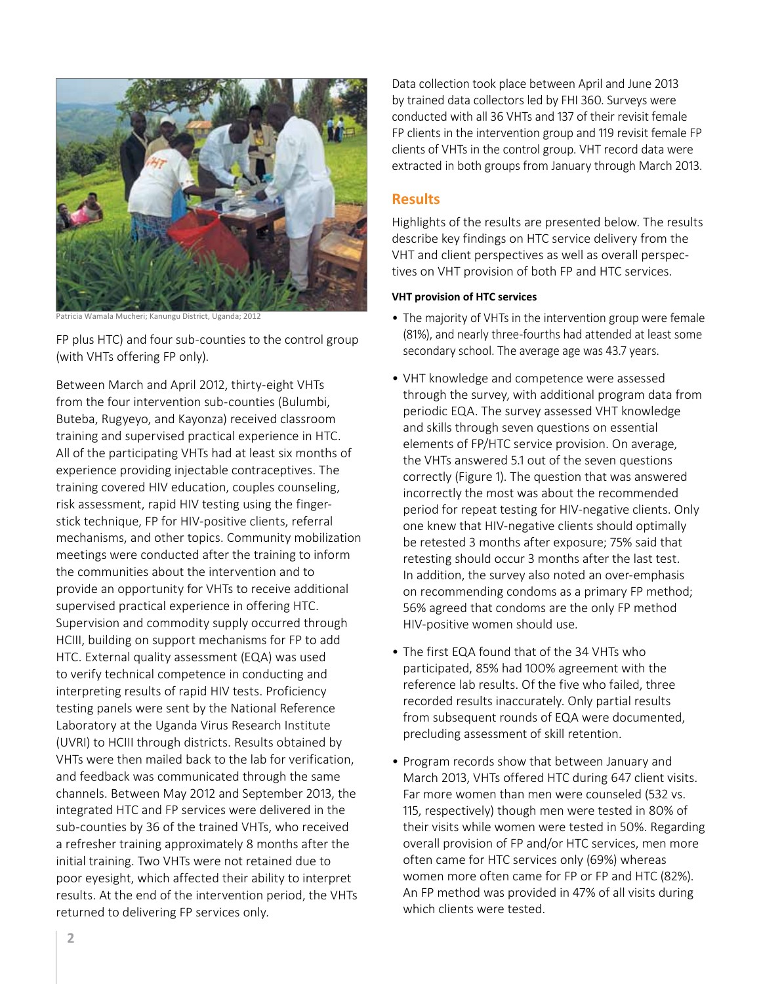

Patricia Wamala Mucheri; Kanungu District, Uganda; 2012

FP plus HTC) and four sub-counties to the control group (with VHTs offering FP only).

Between March and April 2012, thirty-eight VHTs from the four intervention sub-counties (Bulumbi, Buteba, Rugyeyo, and Kayonza) received classroom training and supervised practical experience in HTC. All of the participating VHTs had at least six months of experience providing injectable contraceptives. The training covered HIV education, couples counseling, risk assessment, rapid HIV testing using the fingerstick technique, FP for HIV-positive clients, referral mechanisms, and other topics. Community mobilization meetings were conducted after the training to inform the communities about the intervention and to provide an opportunity for VHTs to receive additional supervised practical experience in offering HTC. Supervision and commodity supply occurred through HCIII, building on support mechanisms for FP to add HTC. External quality assessment (EQA) was used to verify technical competence in conducting and interpreting results of rapid HIV tests. Proficiency testing panels were sent by the National Reference Laboratory at the Uganda Virus Research Institute (UVRI) to HCIII through districts. Results obtained by VHTs were then mailed back to the lab for verification, and feedback was communicated through the same channels. Between May 2012 and September 2013, the integrated HTC and FP services were delivered in the sub-counties by 36 of the trained VHTs, who received a refresher training approximately 8 months after the initial training. Two VHTs were not retained due to poor eyesight, which affected their ability to interpret results. At the end of the intervention period, the VHTs returned to delivering FP services only.

Data collection took place between April and June 2013 by trained data collectors led by FHI 360. Surveys were conducted with all 36 VHTs and 137 of their revisit female FP clients in the intervention group and 119 revisit female FP clients of VHTs in the control group. VHT record data were extracted in both groups from January through March 2013.

### **Results**

Highlights of the results are presented below. The results describe key findings on HTC service delivery from the VHT and client perspectives as well as overall perspectives on VHT provision of both FP and HTC services.

#### **VHT provision of HTC services**

- The majority of VHTs in the intervention group were female (81%), and nearly three-fourths had attended at least some secondary school. The average age was 43.7 years.
- VHT knowledge and competence were assessed through the survey, with additional program data from periodic EQA. The survey assessed VHT knowledge and skills through seven questions on essential elements of FP/HTC service provision. On average, the VHTs answered 5.1 out of the seven questions correctly (Figure 1). The question that was answered incorrectly the most was about the recommended period for repeat testing for HIV-negative clients. Only one knew that HIV-negative clients should optimally be retested 3 months after exposure; 75% said that retesting should occur 3 months after the last test. In addition, the survey also noted an over-emphasis on recommending condoms as a primary FP method; 56% agreed that condoms are the only FP method HIV-positive women should use.
- The first EQA found that of the 34 VHTs who participated, 85% had 100% agreement with the reference lab results. Of the five who failed, three recorded results inaccurately. Only partial results from subsequent rounds of EQA were documented, precluding assessment of skill retention.
- Program records show that between January and March 2013, VHTs offered HTC during 647 client visits. Far more women than men were counseled (532 vs. 115, respectively) though men were tested in 80% of their visits while women were tested in 50%. Regarding overall provision of FP and/or HTC services, men more often came for HTC services only (69%) whereas women more often came for FP or FP and HTC (82%). An FP method was provided in 47% of all visits during which clients were tested.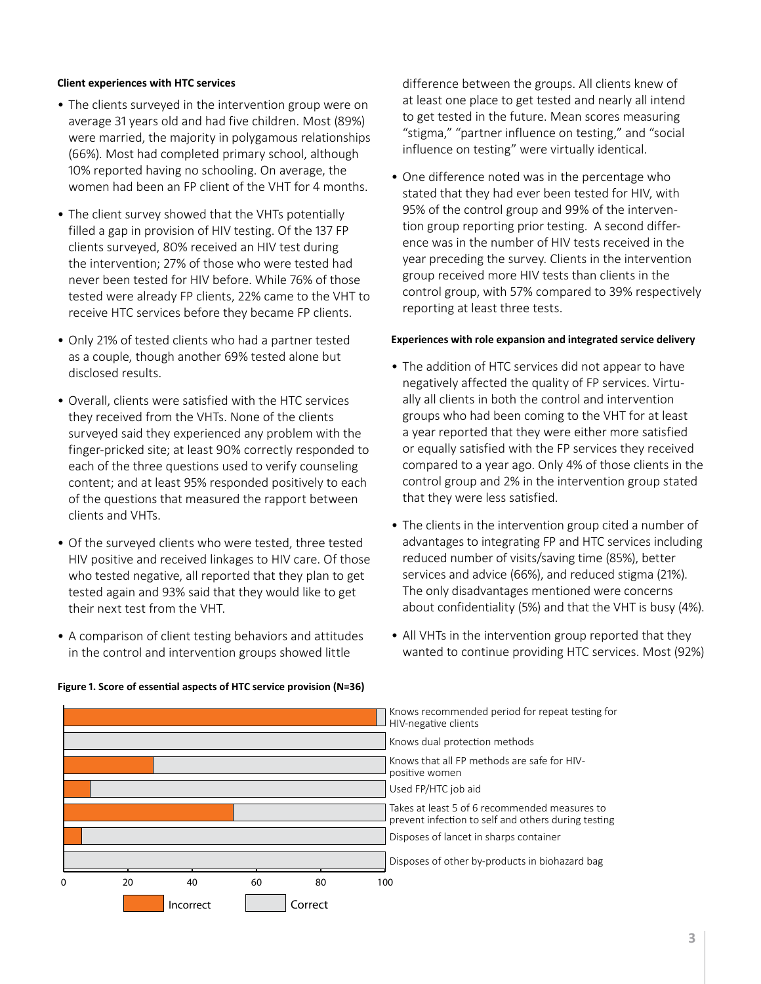#### **Client experiences with HTC services**

- The clients surveyed in the intervention group were on average 31 years old and had five children. Most (89%) were married, the majority in polygamous relationships (66%). Most had completed primary school, although 10% reported having no schooling. On average, the women had been an FP client of the VHT for 4 months.
- The client survey showed that the VHTs potentially filled a gap in provision of HIV testing. Of the 137 FP clients surveyed, 80% received an HIV test during the intervention; 27% of those who were tested had never been tested for HIV before. While 76% of those tested were already FP clients, 22% came to the VHT to receive HTC services before they became FP clients.
- Only 21% of tested clients who had a partner tested as a couple, though another 69% tested alone but disclosed results.
- Overall, clients were satisfied with the HTC services they received from the VHTs. None of the clients surveyed said they experienced any problem with the finger-pricked site; at least 90% correctly responded to each of the three questions used to verify counseling content; and at least 95% responded positively to each of the questions that measured the rapport between clients and VHTs.
- Of the surveyed clients who were tested, three tested HIV positive and received linkages to HIV care. Of those who tested negative, all reported that they plan to get tested again and 93% said that they would like to get their next test from the VHT.
- A comparison of client testing behaviors and attitudes in the control and intervention groups showed little

difference between the groups. All clients knew of at least one place to get tested and nearly all intend to get tested in the future. Mean scores measuring "stigma," "partner influence on testing," and "social influence on testing" were virtually identical.

• One difference noted was in the percentage who stated that they had ever been tested for HIV, with 95% of the control group and 99% of the intervention group reporting prior testing. A second difference was in the number of HIV tests received in the year preceding the survey. Clients in the intervention group received more HIV tests than clients in the control group, with 57% compared to 39% respectively reporting at least three tests.

#### **Experiences with role expansion and integrated service delivery**

- The addition of HTC services did not appear to have negatively affected the quality of FP services. Virtually all clients in both the control and intervention groups who had been coming to the VHT for at least a year reported that they were either more satisfied or equally satisfied with the FP services they received compared to a year ago. Only 4% of those clients in the control group and 2% in the intervention group stated that they were less satisfied.
- The clients in the intervention group cited a number of advantages to integrating FP and HTC services including reduced number of visits/saving time (85%), better services and advice (66%), and reduced stigma (21%). The only disadvantages mentioned were concerns about confidentiality (5%) and that the VHT is busy (4%).
- All VHTs in the intervention group reported that they wanted to continue providing HTC services. Most (92%)



#### **Figure 1. Score of essential aspects of HTC service provision (N=36)**